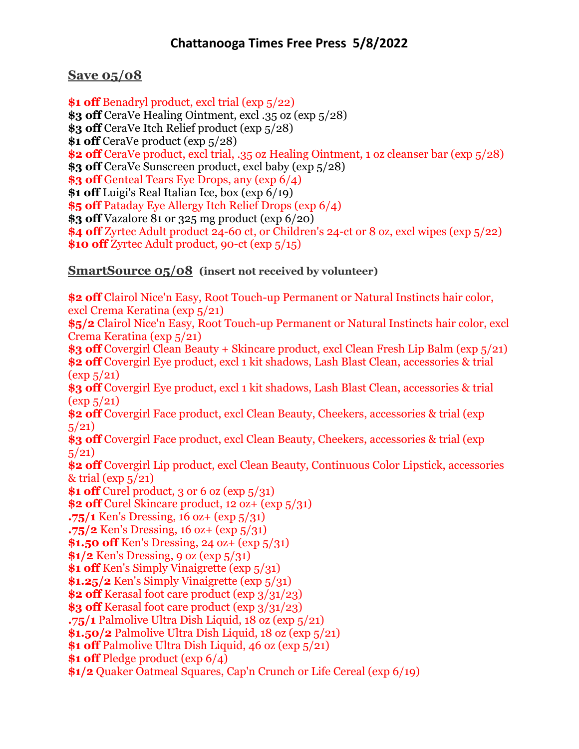**Save 05/08**

**\$1 off** Benadryl product, excl trial (exp 5/22) **\$3 off** CeraVe Healing Ointment, excl .35 oz (exp 5/28) **\$3 off** CeraVe Itch Relief product (exp 5/28) **\$1 off** CeraVe product (exp 5/28) **\$2 off** CeraVe product, excl trial, .35 oz Healing Ointment, 1 oz cleanser bar (exp 5/28) **\$3 off** CeraVe Sunscreen product, excl baby (exp 5/28) **\$3 off** Genteal Tears Eye Drops, any (exp 6/4) **\$1 off** Luigi's Real Italian Ice, box (exp 6/19) **\$5 off** Pataday Eye Allergy Itch Relief Drops (exp 6/4) **\$3 off** Vazalore 81 or 325 mg product (exp 6/20) **\$4 off** Zyrtec Adult product 24-60 ct, or Children's 24-ct or 8 oz, excl wipes (exp 5/22) **\$10 off** Zyrtec Adult product, 90-ct (exp 5/15)

## **SmartSource 05/08 (insert not received by volunteer)**

**\$2 off** Clairol Nice'n Easy, Root Touch-up Permanent or Natural Instincts hair color, excl Crema Keratina (exp 5/21) **\$5/2** Clairol Nice'n Easy, Root Touch-up Permanent or Natural Instincts hair color, excl Crema Keratina (exp 5/21) **\$3 off** Covergirl Clean Beauty + Skincare product, excl Clean Fresh Lip Balm (exp 5/21) **\$2 off** Covergirl Eye product, excl 1 kit shadows, Lash Blast Clean, accessories & trial  $(\exp 5/21)$ **\$3 off** Covergirl Eye product, excl 1 kit shadows, Lash Blast Clean, accessories & trial  $(\exp 5/21)$ **\$2 off** Covergirl Face product, excl Clean Beauty, Cheekers, accessories & trial (exp  $5/21$ **\$3 off** Covergirl Face product, excl Clean Beauty, Cheekers, accessories & trial (exp  $5/21$ **\$2 off** Covergirl Lip product, excl Clean Beauty, Continuous Color Lipstick, accessories  $&$  trial (exp  $5/21$ ) **\$1 off** Curel product, 3 or 6 oz (exp 5/31) **\$2 off** Curel Skincare product, 12 oz+ (exp 5/31) **.75/1** Ken's Dressing, 16 oz+ (exp 5/31) **.75/2** Ken's Dressing, 16 oz+ (exp 5/31) **\$1.50 off** Ken's Dressing, 24 oz+ (exp 5/31) **\$1/2** Ken's Dressing, 9 oz (exp 5/31) **\$1 off** Ken's Simply Vinaigrette (exp  $5/31$ ) **\$1.25/2** Ken's Simply Vinaigrette (exp 5/31) **\$2 off** Kerasal foot care product (exp 3/31/23) **\$3 off** Kerasal foot care product (exp 3/31/23) **.75/1** Palmolive Ultra Dish Liquid, 18 oz (exp 5/21) **\$1.50/2** Palmolive Ultra Dish Liquid, 18 oz (exp 5/21) **\$1 off** Palmolive Ultra Dish Liquid, 46 oz (exp  $\frac{5}{21}$ ) **\$1 off** Pledge product (exp 6/4) **\$1/2** Quaker Oatmeal Squares, Cap'n Crunch or Life Cereal (exp 6/19)